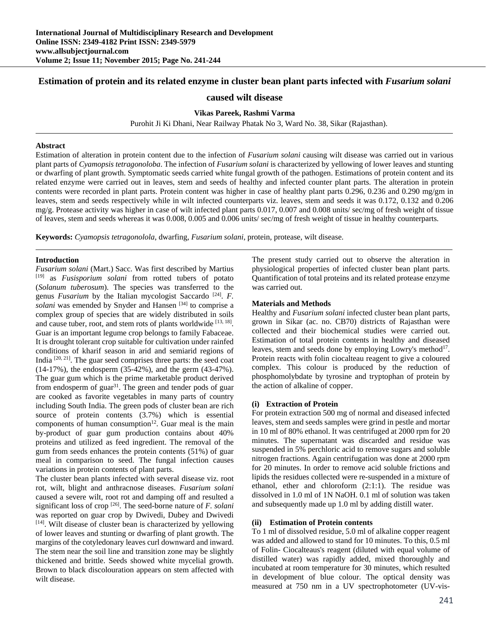# **Estimation of protein and its related enzyme in cluster bean plant parts infected with** *Fusarium solani*

# **caused wilt disease**

# **Vikas Pareek, Rashmi Varma**

Purohit Ji Ki Dhani, Near Railway Phatak No 3, Ward No. 38, Sikar (Rajasthan).

### **Abstract**

Estimation of alteration in protein content due to the infection of *Fusarium solani* causing wilt disease was carried out in various plant parts of *Cyamopsis tetragonoloba*. The infection of *Fusarium solani* is characterized by yellowing of lower leaves and stunting or dwarfing of plant growth. Symptomatic seeds carried white fungal growth of the pathogen. Estimations of protein content and its related enzyme were carried out in leaves, stem and seeds of healthy and infected counter plant parts. The alteration in protein contents were recorded in plant parts. Protein content was higher in case of healthy plant parts 0.296, 0.236 and 0.290 mg/gm in leaves, stem and seeds respectively while in wilt infected counterparts viz. leaves, stem and seeds it was 0.172, 0.132 and 0.206 mg/g. Protease activity was higher in case of wilt infected plant parts 0.017, 0.007 and 0.008 units/ sec/mg of fresh weight of tissue of leaves, stem and seeds whereas it was 0.008, 0.005 and 0.006 units/ sec/mg of fresh weight of tissue in healthy counterparts.

**Keywords:** *Cyamopsis tetragonolola*, dwarfing, *Fusarium solani*, protein, protease, wilt disease.

### **Introduction**

*Fusarium solani* (Mart.) Sacc. Was first described by Martius [19] as *Fusisporium solani* from rotted tubers of potato (*Solanum tuberosum*). The species was transferred to the genus *Fusarium* by the Italian mycologist Saccardo [24]. *F. solani* was emended by Snyder and Hansen<sup>[34]</sup> to comprise a complex group of species that are widely distributed in soils and cause tuber, root, and stem rots of plants worldwide [13, 18]. Guar is an important legume crop belongs to family Fabaceae. It is drought tolerant crop suitable for cultivation under rainfed conditions of kharif season in arid and semiarid regions of India  $[20, 21]$ . The guar seed comprises three parts: the seed coat (14-17%), the endosperm (35-42%), and the germ (43-47%). The guar gum which is the prime marketable product derived from endosperm of guar<sup>31</sup>. The green and tender pods of guar are cooked as favorite vegetables in many parts of country including South India. The green pods of cluster bean are rich source of protein contents (3.7%) which is essential components of human consumption $12$ . Guar meal is the main by-product of guar gum production contains about 40% proteins and utilized as feed ingredient. The removal of the gum from seeds enhances the protein contents (51%) of guar meal in comparison to seed. The fungal infection causes variations in protein contents of plant parts.

The cluster bean plants infected with several disease viz. root rot, wilt, blight and anthracnose diseases. *Fusarium solani* caused a severe wilt, root rot and damping off and resulted a significant loss of crop [26]. The seed-borne nature of *F. solani* was reported on guar crop by Dwivedi, Dubey and Dwivedi [14]. Wilt disease of cluster bean is characterized by yellowing of lower leaves and stunting or dwarfing of plant growth. The margins of the cotyledonary leaves curl downward and inward. The stem near the soil line and transition zone may be slightly thickened and brittle. Seeds showed white mycelial growth. Brown to black discolouration appears on stem affected with wilt disease.

The present study carried out to observe the alteration in physiological properties of infected cluster bean plant parts. Quantification of total proteins and its related protease enzyme was carried out.

#### **Materials and Methods**

Healthy and *Fusarium solani* infected cluster bean plant parts, grown in Sikar (ac. no. CB70) districts of Rajasthan were collected and their biochemical studies were carried out. Estimation of total protein contents in healthy and diseased leaves, stem and seeds done by employing Lowry's method<sup>17</sup>. Protein reacts with folin ciocalteau reagent to give a coloured complex. This colour is produced by the reduction of phosphomolybdate by tyrosine and tryptophan of protein by the action of alkaline of copper.

#### **(i) Extraction of Protein**

For protein extraction 500 mg of normal and diseased infected leaves, stem and seeds samples were grind in pestle and mortar in 10 ml of 80% ethanol. It was centrifuged at 2000 rpm for 20 minutes. The supernatant was discarded and residue was suspended in 5% perchloric acid to remove sugars and soluble nitrogen fractions. Again centrifugation was done at 2000 rpm for 20 minutes. In order to remove acid soluble frictions and lipids the residues collected were re-suspended in a mixture of ethanol, ether and chloroform (2:1:1). The residue was dissolved in 1.0 ml of 1N NaOH. 0.1 ml of solution was taken and subsequently made up 1.0 ml by adding distill water.

## **(ii) Estimation of Protein contents**

To 1 ml of dissolved residue, 5.0 ml of alkaline copper reagent was added and allowed to stand for 10 minutes. To this, 0.5 ml of Folin- Ciocalteaus's reagent (diluted with equal volume of distilled water) was rapidly added, mixed thoroughly and incubated at room temperature for 30 minutes, which resulted in development of blue colour. The optical density was measured at 750 nm in a UV spectrophotometer (UV-vis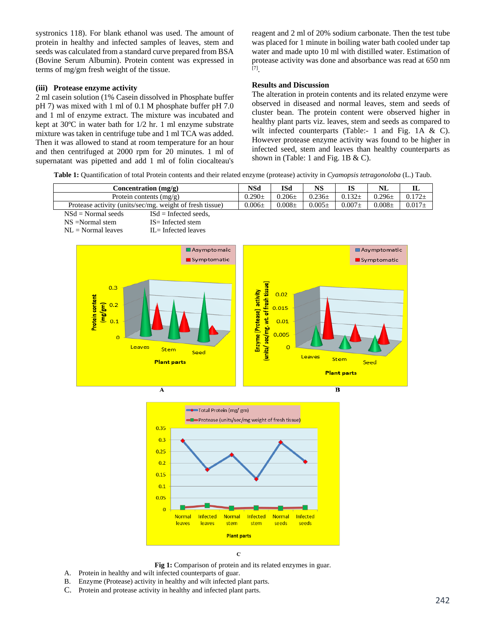systronics 118). For blank ethanol was used. The amount of protein in healthy and infected samples of leaves, stem and seeds was calculated from a standard curve prepared from BSA (Bovine Serum Albumin). Protein content was expressed in terms of mg/gm fresh weight of the tissue.

### **(iii) Protease enzyme activity**

2 ml casein solution (1% Casein dissolved in Phosphate buffer pH 7) was mixed with 1 ml of 0.1 M phosphate buffer pH 7.0 and 1 ml of enzyme extract. The mixture was incubated and kept at 30ºC in water bath for 1/2 hr. 1 ml enzyme substrate mixture was taken in centrifuge tube and 1 ml TCA was added. Then it was allowed to stand at room temperature for an hour and then centrifuged at 2000 rpm for 20 minutes. 1 ml of supernatant was pipetted and add 1 ml of folin ciocalteau's reagent and 2 ml of 20% sodium carbonate. Then the test tube was placed for 1 minute in boiling water bath cooled under tap water and made upto 10 ml with distilled water. Estimation of protease activity was done and absorbance was read at 650 nm [7].

# **Results and Discussion**

The alteration in protein contents and its related enzyme were observed in diseased and normal leaves, stem and seeds of cluster bean. The protein content were observed higher in healthy plant parts viz. leaves, stem and seeds as compared to wilt infected counterparts (Table:- 1 and Fig. 1A & C). However protease enzyme activity was found to be higher in infected seed, stem and leaves than healthy counterparts as shown in (Table: 1 and Fig. 1B & C).

**Table 1:** Quantification of total Protein contents and their related enzyme (protease) activity in *Cyamopsis tetragonoloba* (L.) Taub.







 $\ddot{\mathbf{C}}$ 

- **Fig 1:** Comparison of protein and its related enzymes in guar.
- A. Protein in healthy and wilt infected counterparts of guar.
- B. Enzyme (Protease) activity in healthy and wilt infected plant parts.
- C. Protein and protease activity in healthy and infected plant parts.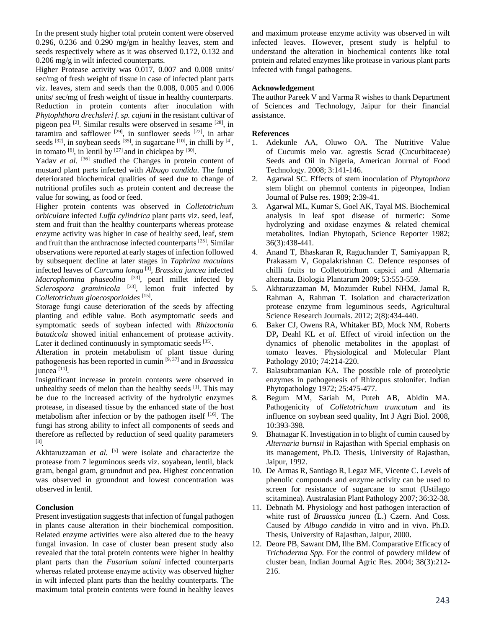In the present study higher total protein content were observed 0.296, 0.236 and 0.290 mg/gm in healthy leaves, stem and seeds respectively where as it was observed 0.172, 0.132 and 0.206 mg/g in wilt infected counterparts.

Higher Protease activity was 0.017, 0.007 and 0.008 units/ sec/mg of fresh weight of tissue in case of infected plant parts viz. leaves, stem and seeds than the 0.008, 0.005 and 0.006 units/ sec/mg of fresh weight of tissue in healthy counterparts. Reduction in protein contents after inoculation with *Phytophthora drechsleri f. sp. cajani* in the resistant cultivar of pigeon pea [2]. Similar results were observed in sesame [28], in taramira and safflower  $[29]$ , in sunflower seeds  $[22]$ , in arhar seeds  $^{[32]}$ , in soybean seeds  $^{[35]}$ , in sugarcane  $^{[10]}$ , in chilli by  $^{[4]}$ , in tomato  $[6]$ , in lentil by  $[27]$  and in chickpea by  $[30]$ .

Yadav *et al.* <sup>[36]</sup> studied the Changes in protein content of mustard plant parts infected with *Albugo candida*. The fungi deteriorated biochemical qualities of seed due to change of nutritional profiles such as protein content and decrease the value for sowing, as food or feed.

Higher protein contents was observed in *Colletotrichum orbiculare* infected *Luffa cylindrica* plant parts viz. seed, leaf, stem and fruit than the healthy counterparts whereas protease enzyme activity was higher in case of healthy seed, leaf, stem and fruit than the anthracnose infected counterparts [25]. Similar observations were reported at early stages of infection followed by subsequent decline at later stages in *Taphrina maculans* infected leaves of *Curcuma longa* [3], *Brassica juncea* infected *Macrophomina phaseolina* [33], pearl millet infected by *Sclerospora graminicola* [23], lemon fruit infected by *Colletotrichum gloecosporioides* [15].

Storage fungi cause deterioration of the seeds by affecting planting and edible value. Both asymptomatic seeds and symptomatic seeds of soybean infected with *Rhizoctonia bataticola* showed initial enhancement of protease activity. Later it declined continuously in symptomatic seeds [35].

Alteration in protein metabolism of plant tissue during pathogenesis has been reported in cumin [9, 37] and in *Braassica*  juncea [11].

Insignificant increase in protein contents were observed in unhealthy seeds of melon than the healthy seeds [1]. This may be due to the increased activity of the hydrolytic enzymes protease, in diseased tissue by the enhanced state of the host metabolism after infection or by the pathogen itself  $[16]$ . The fungi has strong ability to infect all components of seeds and therefore as reflected by reduction of seed quality parameters [8].

Akhtaruzzaman *et al.* <sup>[5]</sup> were isolate and characterize the protease from 7 leguminous seeds viz. soyabean, lentil, black gram, bengal gram, groundnut and pea. Highest concentration was observed in groundnut and lowest concentration was observed in lentil.

## **Conclusion**

Present investigation suggests that infection of fungal pathogen in plants cause alteration in their biochemical composition. Related enzyme activities were also altered due to the heavy fungal invasion. In case of cluster bean present study also revealed that the total protein contents were higher in healthy plant parts than the *Fusarium solani* infected counterparts whereas related protease enzyme activity was observed higher in wilt infected plant parts than the healthy counterparts. The maximum total protein contents were found in healthy leaves and maximum protease enzyme activity was observed in wilt infected leaves. However, present study is helpful to understand the alteration in biochemical contents like total protein and related enzymes like protease in various plant parts infected with fungal pathogens.

### **Acknowledgement**

The author Pareek V and Varma R wishes to thank Department of Sciences and Technology, Jaipur for their financial assistance.

#### **References**

- 1. Adekunle AA, Oluwo OA. The Nutritive Value of Cucumis melo var. agrestis Scrad (Cucurbitaceae) Seeds and Oil in Nigeria, American Journal of Food Technology. 2008; 3:141-146.
- 2. Agarwal SC. Effects of stem inoculation of *Phytopthora* stem blight on phemnol contents in pigeonpea, Indian Journal of Pulse res. 1989; 2:39-41.
- 3. Agarwal ML, Kumar S, Goel AK, Tayal MS. Biochemical analysis in leaf spot disease of turmeric: Some hydrolyzing and oxidase enzymes & related chemical metabolites. Indian Phytopath, Science Reporter 1982; 36(3):438-441.
- 4. Anand T, Bhaskaran R, Raguchander T, Samiyappan R, Prakasam V, Gopalakrishnan C. Defence responses of chilli fruits to Colletotrichum capsici and Alternaria alternata. Biologia Plantarum 2009; 53:553-559.
- 5. Akhtaruzzaman M, Mozumder Rubel NHM, Jamal R, Rahman A, Rahman T. Isolation and characterization protease enzyme from leguminous seeds, Agricultural Science Research Journals. 2012; 2(8):434-440.
- 6. Baker CJ, Owens RA, Whitaker BD, Mock NM, Roberts DP**,** Deahl KL *et al.* Effect of viroid infection on the dynamics of phenolic metabolites in the apoplast of tomato leaves. Physiological and Molecular Plant Pathology 2010; 74:214-220.
- 7. Balasubramanian KA. The possible role of proteolytic enzymes in pathogenesis of Rhizopus stolonifer. Indian Phytopathology 1972; 25:475-477.
- 8. Begum MM, Sariah M, Puteh AB, Abidin MA. Pathogenicity of *Colletotrichum truncatum* and its influence on soybean seed quality, Int J Agri Biol. 2008, 10:393-398.
- 9. Bhatnagar K. Investigation in to blight of cumin caused by *Alternaria burnsii* in Rajasthan with Special emphasis on its management, Ph.D. Thesis, University of Rajasthan, Jaipur, 1992.
- 10. De Armas R, Santiago R, Legaz ME, Vicente C. Levels of phenolic compounds and enzyme activity can be used to screen for resistance of sugarcane to smut (Ustilago scitaminea). Australasian Plant Pathology 2007; 36:32-38.
- 11. Debnath M. Physiology and host pathogen interaction of white rust of *Braassica juncea* (L.) Czern. And Coss. Caused by *Albugo candida* in vitro and in vivo. Ph.D. Thesis, University of Rajasthan, Jaipur, 2000.
- 12. Deore PB, Sawant DM, Ilhe BM. Comparative Efficacy of *Trichoderma Spp.* For the control of powdery mildew of cluster bean, Indian Journal Agric Res. 2004; 38(3):212- 216.